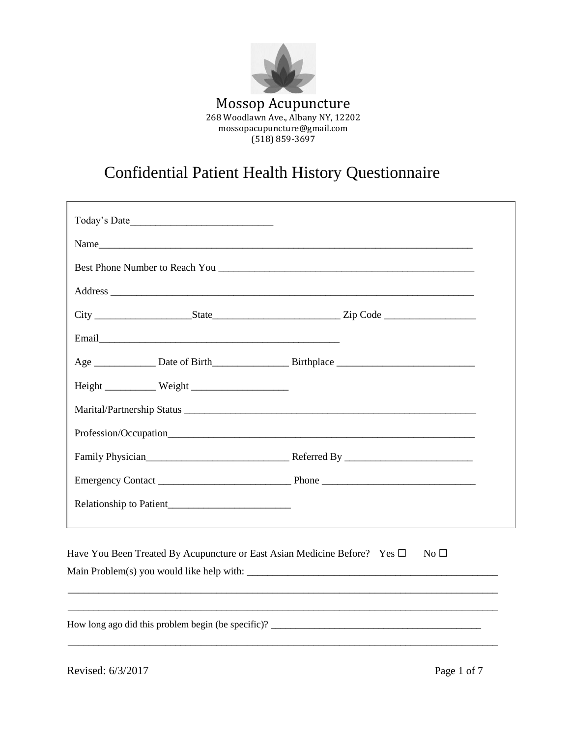

# Confidential Patient Health History Questionnaire

| Name                                                           |  |
|----------------------------------------------------------------|--|
|                                                                |  |
|                                                                |  |
|                                                                |  |
|                                                                |  |
|                                                                |  |
|                                                                |  |
|                                                                |  |
|                                                                |  |
|                                                                |  |
|                                                                |  |
|                                                                |  |
|                                                                |  |
|                                                                |  |
|                                                                |  |
| Main Problem(s) you would like help with: $\sqrt{\frac{m}{n}}$ |  |

\_\_\_\_\_\_\_\_\_\_\_\_\_\_\_\_\_\_\_\_\_\_\_\_\_\_\_\_\_\_\_\_\_\_\_\_\_\_\_\_\_\_\_\_\_\_\_\_\_\_\_\_\_\_\_\_\_\_\_\_\_\_\_\_\_\_\_\_\_\_\_\_\_\_\_\_\_\_\_\_\_\_\_\_

How long ago did this problem begin (be specific)? \_\_\_\_\_\_\_\_\_\_\_\_\_\_\_\_\_\_\_\_\_\_\_\_\_\_\_\_\_

Revised: 6/3/2017 Page 1 of 7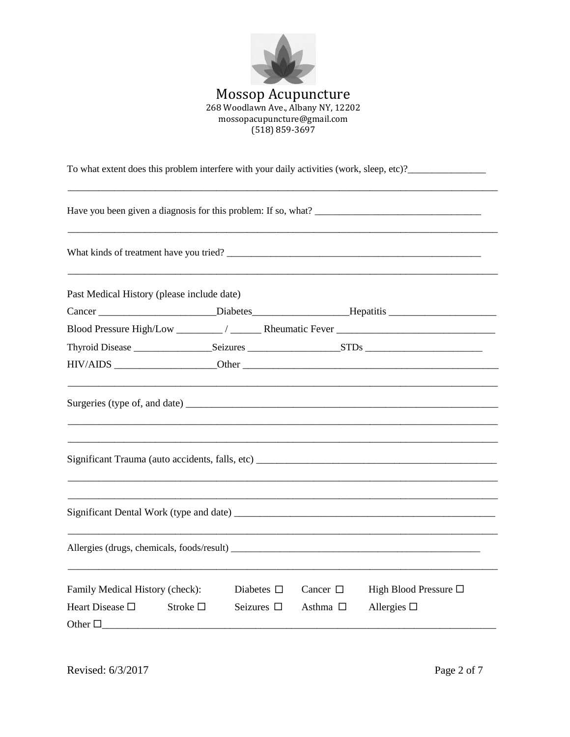

| To what extent does this problem interfere with your daily activities (work, sleep, etc)? |                    |                  |                                                                                   |  |  |
|-------------------------------------------------------------------------------------------|--------------------|------------------|-----------------------------------------------------------------------------------|--|--|
|                                                                                           |                    |                  |                                                                                   |  |  |
|                                                                                           |                    |                  |                                                                                   |  |  |
| Past Medical History (please include date)                                                |                    |                  |                                                                                   |  |  |
|                                                                                           |                    |                  | Cancer _____________________Diabetes____________________Hepatitis _______________ |  |  |
|                                                                                           |                    |                  |                                                                                   |  |  |
|                                                                                           |                    |                  |                                                                                   |  |  |
|                                                                                           |                    |                  |                                                                                   |  |  |
|                                                                                           |                    |                  |                                                                                   |  |  |
|                                                                                           |                    |                  | Significant Trauma (auto accidents, falls, etc)                                   |  |  |
|                                                                                           |                    |                  |                                                                                   |  |  |
|                                                                                           |                    |                  |                                                                                   |  |  |
| Family Medical History (check):                                                           | Diabetes $\Box$    | Cancer $\Box$    | High Blood Pressure $\Box$                                                        |  |  |
| Heart Disease $\Box$<br>Stroke $\square$                                                  | Seizures $\square$ | Asthma $\square$ | Allergies $\square$                                                               |  |  |
| Other $\Box$                                                                              |                    |                  |                                                                                   |  |  |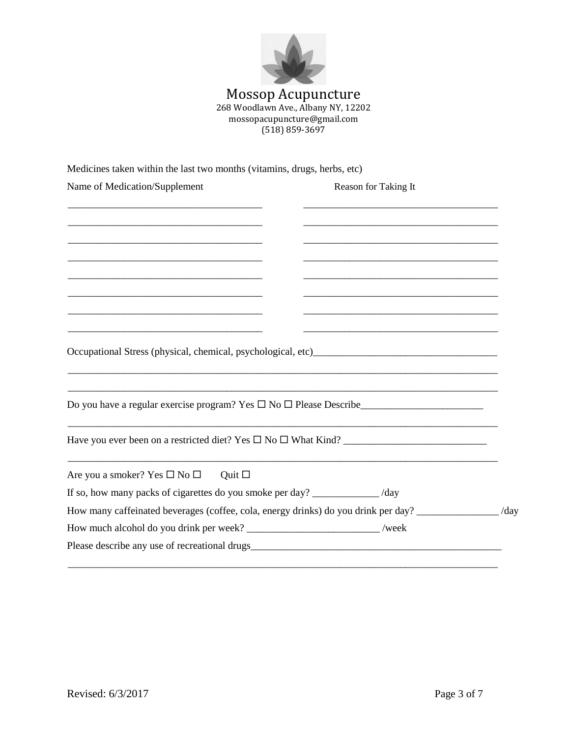

## Mossop Acupuncture 268 Woodlawn Ave., Albany NY, 12202 mossopacupuncture@gmail.com (518) 859-3697

Medicines taken within the last two months (vitamins, drugs, herbs, etc)

| Name of Medication/Supplement                                                                         | Reason for Taking It |  |
|-------------------------------------------------------------------------------------------------------|----------------------|--|
|                                                                                                       |                      |  |
|                                                                                                       |                      |  |
|                                                                                                       |                      |  |
|                                                                                                       |                      |  |
|                                                                                                       |                      |  |
| <u> 1989 - Johann Stoff, amerikansk politiker (d. 1989)</u>                                           |                      |  |
|                                                                                                       |                      |  |
|                                                                                                       |                      |  |
|                                                                                                       |                      |  |
|                                                                                                       |                      |  |
|                                                                                                       |                      |  |
| Do you have a regular exercise program? Yes $\Box$ No $\Box$ Please Describe                          |                      |  |
|                                                                                                       |                      |  |
| Have you ever been on a restricted diet? Yes $\Box$ No $\Box$ What Kind?                              |                      |  |
| Are you a smoker? Yes $\square$ No $\square$<br>Quit $\square$                                        |                      |  |
| If so, how many packs of cigarettes do you smoke per day? ____________ /day                           |                      |  |
| How many caffeinated beverages (coffee, cola, energy drinks) do you drink per day? ______________/day |                      |  |
| How much alcohol do you drink per week? ___________________________/week                              |                      |  |
|                                                                                                       |                      |  |
|                                                                                                       |                      |  |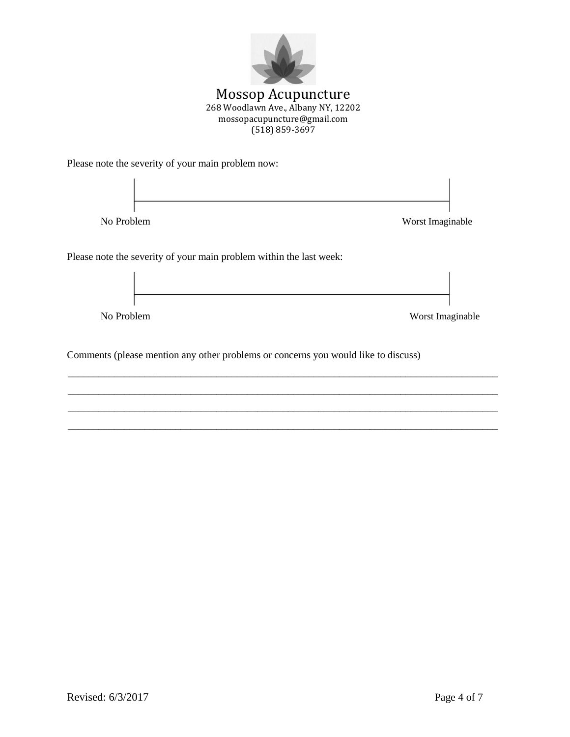

Please note the severity of your main problem now:



\_\_\_\_\_\_\_\_\_\_\_\_\_\_\_\_\_\_\_\_\_\_\_\_\_\_\_\_\_\_\_\_\_\_\_\_\_\_\_\_\_\_\_\_\_\_\_\_\_\_\_\_\_\_\_\_\_\_\_\_\_\_\_\_\_\_\_\_\_\_\_\_\_\_\_\_\_\_\_\_\_\_\_\_ \_\_\_\_\_\_\_\_\_\_\_\_\_\_\_\_\_\_\_\_\_\_\_\_\_\_\_\_\_\_\_\_\_\_\_\_\_\_\_\_\_\_\_\_\_\_\_\_\_\_\_\_\_\_\_\_\_\_\_\_\_\_\_\_\_\_\_\_\_\_\_\_\_\_\_\_\_\_\_\_\_\_\_\_ \_\_\_\_\_\_\_\_\_\_\_\_\_\_\_\_\_\_\_\_\_\_\_\_\_\_\_\_\_\_\_\_\_\_\_\_\_\_\_\_\_\_\_\_\_\_\_\_\_\_\_\_\_\_\_\_\_\_\_\_\_\_\_\_\_\_\_\_\_\_\_\_\_\_\_\_\_\_\_\_\_\_\_\_ \_\_\_\_\_\_\_\_\_\_\_\_\_\_\_\_\_\_\_\_\_\_\_\_\_\_\_\_\_\_\_\_\_\_\_\_\_\_\_\_\_\_\_\_\_\_\_\_\_\_\_\_\_\_\_\_\_\_\_\_\_\_\_\_\_\_\_\_\_\_\_\_\_\_\_\_\_\_\_\_\_\_\_\_

Comments (please mention any other problems or concerns you would like to discuss)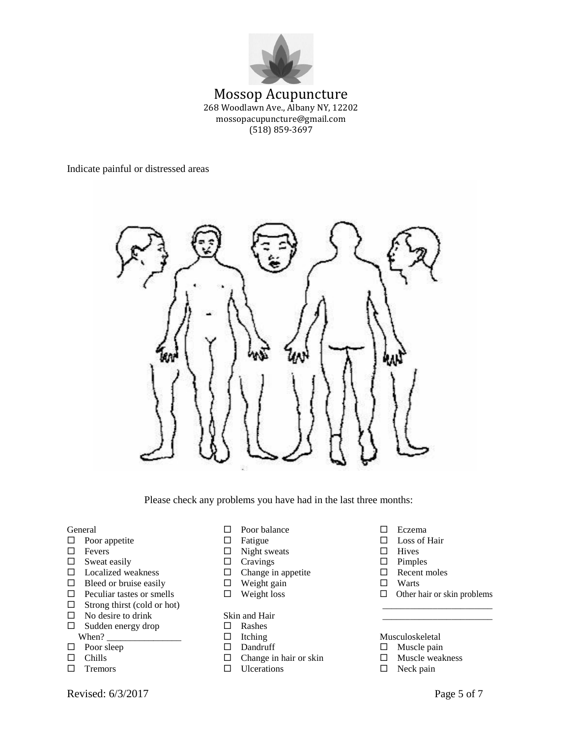

### Mossop Acupuncture 268 Woodlawn Ave., Albany NY, 12202 mossopacupuncture@gmail.com (518) 859-3697

Indicate painful or distressed areas



Please check any problems you have had in the last three months:

- $\Box$  Poor appetite  $\Box$  Fatigue  $\Box$  Loss of Hair
- 
- $\Box$  Sweat easily  $\Box$  Cravings  $\Box$  Pimples
- $\Box$  Localized weakness  $\Box$  Change in appetite  $\Box$  Recent moles
- $\Box$  Bleed or bruise easily  $\Box$  Weight gain  $\Box$  Warts
- 
- $\Box$  Strong thirst (cold or hot)
- $\Box$  No desire to drink Skin and Hair
- $\Box$  Sudden energy drop  $\Box$  Rashes When? \_\_\_\_\_\_\_\_\_\_\_\_\_\_\_\_\_\_\_\_\_\_\_\_\_ Itching Musculoskeletal
- 
- 
- 
- General  $\Box$  Poor balance  $\Box$  Eczema
	-
- $\Box$  Fevers  $\Box$  Night sweats  $\Box$  Hives
	-
	-
	-
	-

- 
- 
- 
- $\Box$  Change in hair or skin  $\Box$  Muscle weakness
- $\Box$  Tremors  $\Box$  Ulcerations  $\Box$  Neck pain
- 
- 
- 
- 
- 
- 
- $\Box$  Peculiar tastes or smells  $\Box$  Weight loss  $\Box$  Other hair or skin problems

- $\Box$  Poor sleep  $\Box$  Dandruff  $\Box$  Muscle pain
	-
	-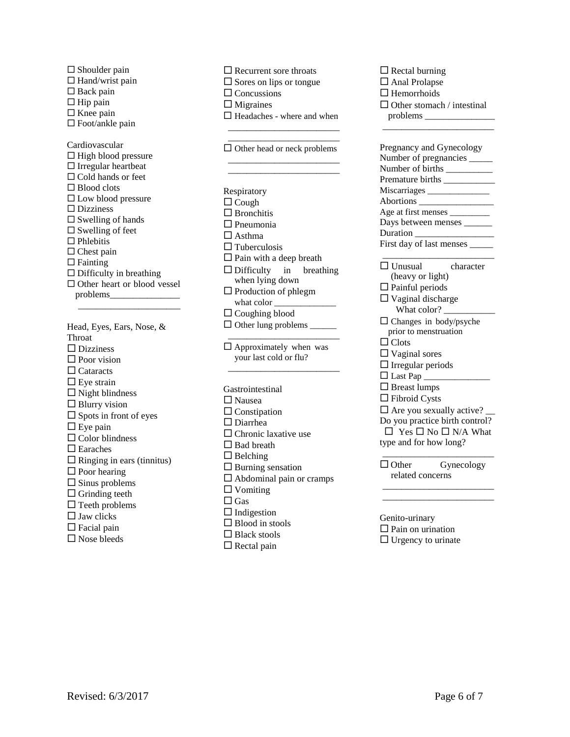| $\square$ Shoulder pain<br>$\Box$ Hand/wrist pain<br>$\square$ Back pain<br>$\Box$ Hip pain<br>$\Box$ Knee pain<br>□ Foot/ankle pain                                                                                                                                                                                                                                                                                                                                  |  |
|-----------------------------------------------------------------------------------------------------------------------------------------------------------------------------------------------------------------------------------------------------------------------------------------------------------------------------------------------------------------------------------------------------------------------------------------------------------------------|--|
| Cardiovascular<br>$\Box$ High blood pressure<br>$\Box$ Irregular heartbeat<br>$\Box$ Cold hands or feet<br>$\Box$ Blood clots<br>$\square$ Low blood pressure<br>$\Box$ Dizziness<br>$\square$ Swelling of hands<br>$\Box$ Swelling of feet<br>$\Box$ Phlebitis<br>$\Box$ Chest pain<br>$\Box$ Fainting<br>$\Box$ Difficulty in breathing<br>□ Other heart or blood vessel                                                                                            |  |
| Head, Eyes, Ears, Nose, &<br>Throat<br>$\Box$ Dizziness<br>$\Box$ Poor vision<br>$\Box$ Cataracts<br>$\Box$ Eye strain<br>$\Box$ Night blindness<br>$\Box$ Blurry vision<br>$\Box$ Spots in front of eyes<br>$\square$ Eye pain<br>$\Box$ Color blindness<br>$\square$ Earaches<br>$\Box$ Ringing in ears (tinnitus)<br>$\square$ Poor hearing<br>$\square$ Sinus problems<br>$\square$ Grinding teeth<br>$\Box$ Teeth problems<br>$\Box$ Jaw clicks<br>□ Facial pain |  |

| $\Box$ Recurrent sore throats      |
|------------------------------------|
| $\square$ Sores on lips or tongue  |
| $\Box$ Concussions                 |
| Migraines<br>C                     |
| □ Headaches - where and when       |
|                                    |
|                                    |
| $\Box$ Other head or neck problems |
|                                    |
|                                    |
|                                    |
| Respiratory                        |
| $\Box$ Cough                       |
| $\Box$ Bronchitis                  |
| $\Box$ Pneumonia                   |
| $\Box$ Asthma                      |
| Tuberculosis                       |
| $\square$ Pain with a deep breath  |
| $\Box$ Difficulty in breathing     |
| when lying down                    |
| $\Box$ Production of phlegm        |
|                                    |
| $\Box$ Coughing blood              |
| $\Box$ Other lung problems _______ |
|                                    |
| $\Box$ Approximately when was      |
| your last cold or flu?             |
|                                    |
|                                    |
| Gastrointestinal                   |
| $\Box$ Nausea                      |
| $\Box$ Constipation                |
| $\Box$ Diarrhea                    |
| $\Box$ Chronic laxative use        |
| $\Box$ Bad breath                  |
| $\Box$ Belching                    |
| $\Box$ Burning sensation           |
| $\Box$ Abdominal pain or cramps    |
| $\Box$ Vomiting                    |
| $\Box$ Gas                         |
| $\Box$ Indigestion                 |
| $\Box$ Blood in stools             |
| $\Box$ Black stools                |
| $\Box$ Rectal pain                 |

| $\Box$ Rectal burning                             |
|---------------------------------------------------|
| □ Anal Prolapse                                   |
| $\Box$ Hemorrhoids                                |
| $\Box$ Other stomach / intestinal                 |
|                                                   |
|                                                   |
|                                                   |
| Pregnancy and Gynecology                          |
| Number of pregnancies                             |
| Number of births                                  |
|                                                   |
| Miscarriages _______________                      |
| Abortions                                         |
|                                                   |
| Days between menses ______                        |
|                                                   |
| First day of last menses _____                    |
|                                                   |
| $\Box$ Unusual<br>character                       |
| (heavy or light)                                  |
| $\Box$ Painful periods                            |
| $\Box$ Vaginal discharge                          |
| What color?                                       |
| $\Box$ Changes in body/psyche                     |
| prior to menstruation                             |
| $\Box$ Clots                                      |
| $\Box$ Vaginal sores                              |
| $\Box$ Irregular periods                          |
| $\Box$ Last Pap                                   |
| $\square$ Breast lumps<br>$\square$ Fibroid Cysts |
|                                                   |
| $\Box$ Are you sexually active?                   |
| Do you practice birth control?                    |
| $\Box$ Yes $\Box$ No $\Box$ N/A What              |
| type and for how long?                            |
|                                                   |
| $\Box$ Other<br>Gynecology                        |
| related concerns                                  |
|                                                   |
|                                                   |
| Genito-urinary                                    |
| $\Box$ $\Box$ $\Box$<br>. .                       |

 $\square$  Pain on urination  $\Box$  Urgency to urinate